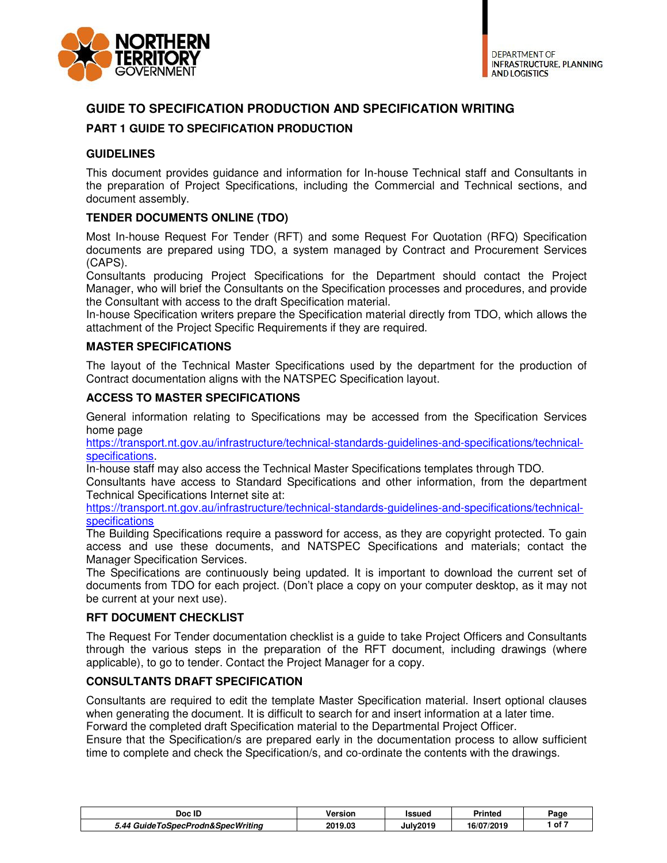

# **GUIDE TO SPECIFICATION PRODUCTION AND SPECIFICATION WRITING**

# **PART 1 GUIDE TO SPECIFICATION PRODUCTION**

## **GUIDELINES**

This document provides guidance and information for In-house Technical staff and Consultants in the preparation of Project Specifications, including the Commercial and Technical sections, and document assembly.

## **TENDER DOCUMENTS ONLINE (TDO)**

Most In-house Request For Tender (RFT) and some Request For Quotation (RFQ) Specification documents are prepared using TDO, a system managed by Contract and Procurement Services (CAPS).

Consultants producing Project Specifications for the Department should contact the Project Manager, who will brief the Consultants on the Specification processes and procedures, and provide the Consultant with access to the draft Specification material.

In-house Specification writers prepare the Specification material directly from TDO, which allows the attachment of the Project Specific Requirements if they are required.

#### **MASTER SPECIFICATIONS**

The layout of the Technical Master Specifications used by the department for the production of Contract documentation aligns with the NATSPEC Specification layout.

#### **ACCESS TO MASTER SPECIFICATIONS**

General information relating to Specifications may be accessed from the Specification Services home page

https://transport.nt.gov.au/infrastructure/technical-standards-guidelines-and-specifications/technicalspecifications.

In-house staff may also access the Technical Master Specifications templates through TDO.

Consultants have access to Standard Specifications and other information, from the department Technical Specifications Internet site at:

https://transport.nt.gov.au/infrastructure/technical-standards-guidelines-and-specifications/technical**specifications** 

The Building Specifications require a password for access, as they are copyright protected. To gain access and use these documents, and NATSPEC Specifications and materials; contact the Manager Specification Services.

The Specifications are continuously being updated. It is important to download the current set of documents from TDO for each project. (Don't place a copy on your computer desktop, as it may not be current at your next use).

#### **RFT DOCUMENT CHECKLIST**

The Request For Tender documentation checklist is a guide to take Project Officers and Consultants through the various steps in the preparation of the RFT document, including drawings (where applicable), to go to tender. Contact the Project Manager for a copy.

#### **CONSULTANTS DRAFT SPECIFICATION**

Consultants are required to edit the template Master Specification material. Insert optional clauses when generating the document. It is difficult to search for and insert information at a later time.

Forward the completed draft Specification material to the Departmental Project Officer.

Ensure that the Specification/s are prepared early in the documentation process to allow sufficient time to complete and check the Specification/s, and co-ordinate the contents with the drawings.

| <br>Doc<br>: ID                       | Version | <b>Issuer</b> | <b>Printeo</b> | Page |
|---------------------------------------|---------|---------------|----------------|------|
| SnecProdn&SnecWriting<br>. AA<br>-шde | 2019.03 | .<br>July20   | 16/07/2019     | of 7 |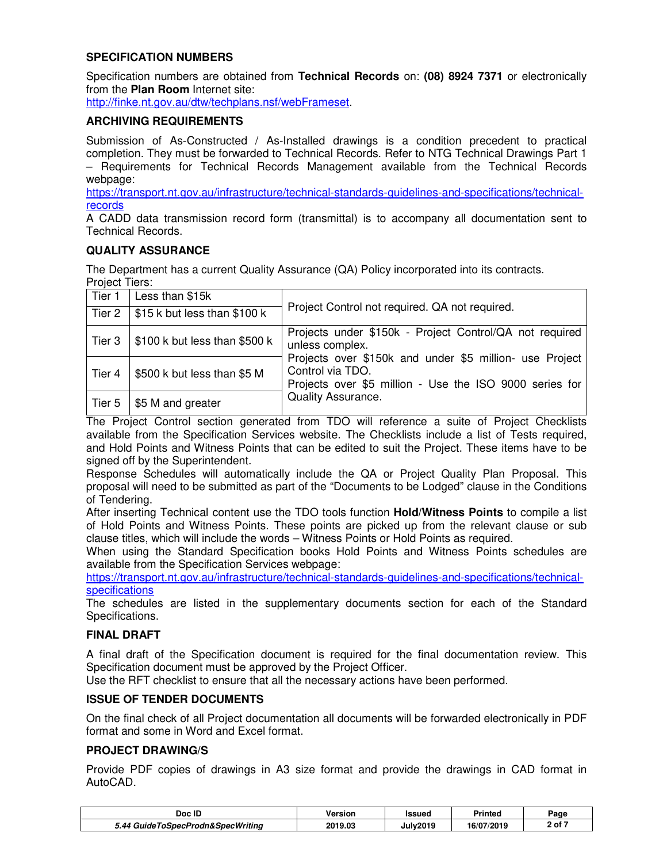### **SPECIFICATION NUMBERS**

Specification numbers are obtained from **Technical Records** on: **(08) 8924 7371** or electronically from the **Plan Room** Internet site:

http://finke.nt.gov.au/dtw/techplans.nsf/webFrameset.

### **ARCHIVING REQUIREMENTS**

Submission of As-Constructed / As-Installed drawings is a condition precedent to practical completion. They must be forwarded to Technical Records. Refer to NTG Technical Drawings Part 1 – Requirements for Technical Records Management available from the Technical Records webpage:

https://transport.nt.gov.au/infrastructure/technical-standards-guidelines-and-specifications/technicalrecords

A CADD data transmission record form (transmittal) is to accompany all documentation sent to Technical Records.

## **QUALITY ASSURANCE**

The Department has a current Quality Assurance (QA) Policy incorporated into its contracts. Project Tiers:

| Tier 1 | Less than \$15k                          |                                                                                                                                        |  |  |  |  |
|--------|------------------------------------------|----------------------------------------------------------------------------------------------------------------------------------------|--|--|--|--|
|        | Tier 2   $$15 k$ but less than $$100 k$  | Project Control not required. QA not required.                                                                                         |  |  |  |  |
|        | Tier $3$   \$100 k but less than \$500 k | Projects under \$150k - Project Control/QA not required<br>unless complex.                                                             |  |  |  |  |
| Tier 4 | \$500 k but less than \$5 M              | Projects over \$150k and under \$5 million- use Project<br>Control via TDO.<br>Projects over \$5 million - Use the ISO 9000 series for |  |  |  |  |
| Tier 5 | \$5 M and greater                        | Quality Assurance.                                                                                                                     |  |  |  |  |

The Project Control section generated from TDO will reference a suite of Project Checklists available from the Specification Services website. The Checklists include a list of Tests required, and Hold Points and Witness Points that can be edited to suit the Project. These items have to be signed off by the Superintendent.

Response Schedules will automatically include the QA or Project Quality Plan Proposal. This proposal will need to be submitted as part of the "Documents to be Lodged" clause in the Conditions of Tendering.

After inserting Technical content use the TDO tools function **Hold/Witness Points** to compile a list of Hold Points and Witness Points. These points are picked up from the relevant clause or sub clause titles, which will include the words – Witness Points or Hold Points as required.

When using the Standard Specification books Hold Points and Witness Points schedules are available from the Specification Services webpage:

https://transport.nt.gov.au/infrastructure/technical-standards-guidelines-and-specifications/technical**specifications** 

The schedules are listed in the supplementary documents section for each of the Standard Specifications.

#### **FINAL DRAFT**

A final draft of the Specification document is required for the final documentation review. This Specification document must be approved by the Project Officer.

Use the RFT checklist to ensure that all the necessary actions have been performed.

#### **ISSUE OF TENDER DOCUMENTS**

On the final check of all Project documentation all documents will be forwarded electronically in PDF format and some in Word and Excel format.

## **PROJECT DRAWING/S**

Provide PDF copies of drawings in A3 size format and provide the drawings in CAD format in AutoCAD.

| Doc ID                                    | Version | <b>Issued</b>   | <b>Printed</b> | Page   |
|-------------------------------------------|---------|-----------------|----------------|--------|
| eToSpecProdn&SpecWritina<br>Guide<br>5.44 | 2019.03 | <b>July2019</b> | 16/07/2019     | 2 of 7 |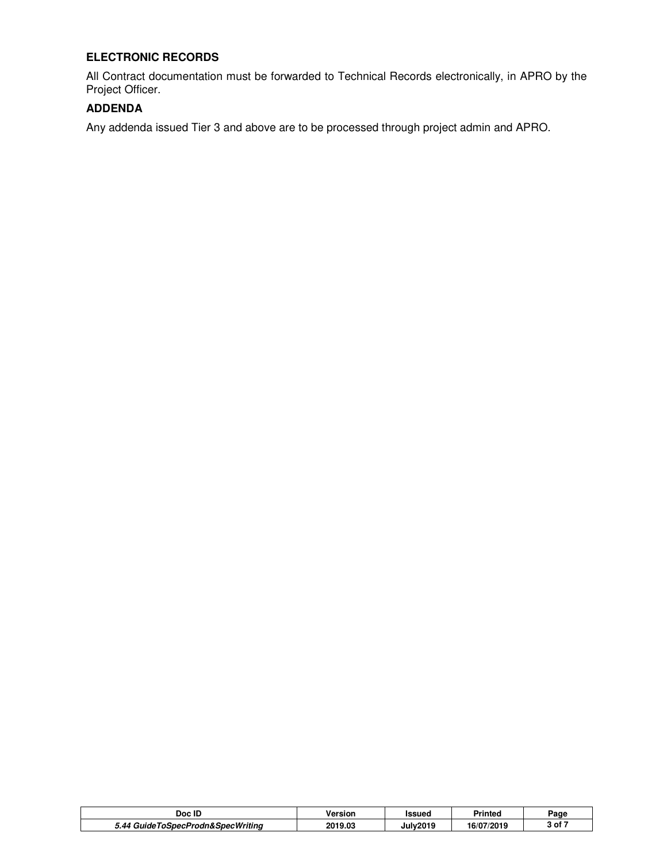# **ELECTRONIC RECORDS**

All Contract documentation must be forwarded to Technical Records electronically, in APRO by the Project Officer.

# **ADDENDA**

Any addenda issued Tier 3 and above are to be processed through project admin and APRO.

| Doc ID                                   | Version | Issued               | <b>Printeo</b> | Page                          |
|------------------------------------------|---------|----------------------|----------------|-------------------------------|
| ToSpecProdn&SpecWritina<br>- 44<br>anide | 2019.03 | July201 <sup>r</sup> | 16/07/2019     | 3 of $\overline{\phantom{a}}$ |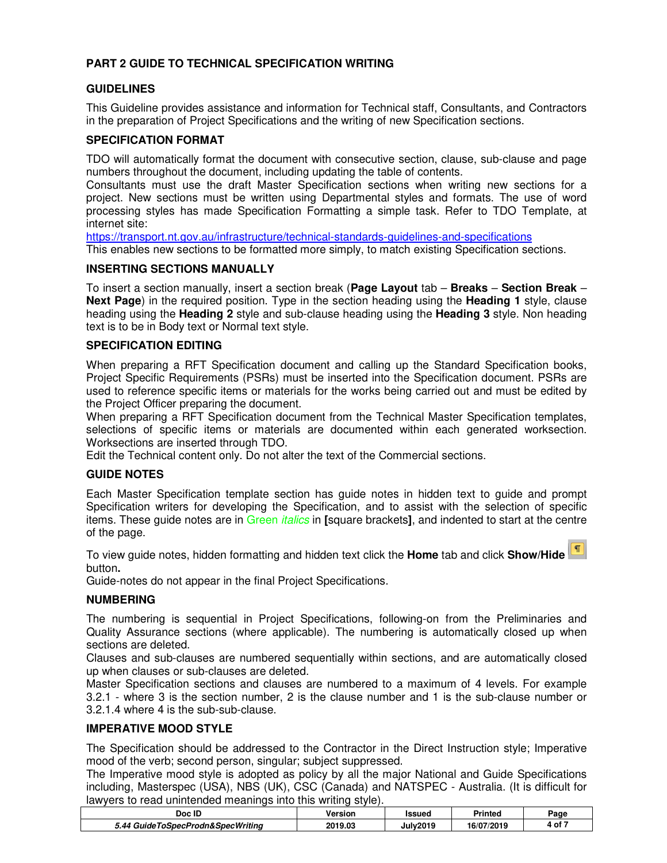# **PART 2 GUIDE TO TECHNICAL SPECIFICATION WRITING**

### **GUIDELINES**

This Guideline provides assistance and information for Technical staff, Consultants, and Contractors in the preparation of Project Specifications and the writing of new Specification sections.

### **SPECIFICATION FORMAT**

TDO will automatically format the document with consecutive section, clause, sub-clause and page numbers throughout the document, including updating the table of contents.

Consultants must use the draft Master Specification sections when writing new sections for a project. New sections must be written using Departmental styles and formats. The use of word processing styles has made Specification Formatting a simple task. Refer to TDO Template, at internet site:

https://transport.nt.gov.au/infrastructure/technical-standards-guidelines-and-specifications This enables new sections to be formatted more simply, to match existing Specification sections.

#### **INSERTING SECTIONS MANUALLY**

To insert a section manually, insert a section break (**Page Layout** tab – **Breaks** – **Section Break** – **Next Page**) in the required position. Type in the section heading using the **Heading 1** style, clause heading using the **Heading 2** style and sub-clause heading using the **Heading 3** style. Non heading text is to be in Body text or Normal text style.

#### **SPECIFICATION EDITING**

When preparing a RFT Specification document and calling up the Standard Specification books, Project Specific Requirements (PSRs) must be inserted into the Specification document. PSRs are used to reference specific items or materials for the works being carried out and must be edited by the Project Officer preparing the document.

When preparing a RFT Specification document from the Technical Master Specification templates, selections of specific items or materials are documented within each generated worksection. Worksections are inserted through TDO.

Edit the Technical content only. Do not alter the text of the Commercial sections.

#### **GUIDE NOTES**

Each Master Specification template section has guide notes in hidden text to guide and prompt Specification writers for developing the Specification, and to assist with the selection of specific items. These guide notes are in Green italics in **[**square brackets**]**, and indented to start at the centre of the page.

To view guide notes, hidden formatting and hidden text click the **Home** tab and click **Show/Hide**  button**.** 

Guide-notes do not appear in the final Project Specifications.

#### **NUMBERING**

The numbering is sequential in Project Specifications, following-on from the Preliminaries and Quality Assurance sections (where applicable). The numbering is automatically closed up when sections are deleted.

Clauses and sub-clauses are numbered sequentially within sections, and are automatically closed up when clauses or sub-clauses are deleted.

Master Specification sections and clauses are numbered to a maximum of 4 levels. For example 3.2.1 - where 3 is the section number, 2 is the clause number and 1 is the sub-clause number or 3.2.1.4 where 4 is the sub-sub-clause.

#### **IMPERATIVE MOOD STYLE**

The Specification should be addressed to the Contractor in the Direct Instruction style; Imperative mood of the verb; second person, singular; subject suppressed.

The Imperative mood style is adopted as policy by all the major National and Guide Specifications including, Masterspec (USA), NBS (UK), CSC (Canada) and NATSPEC - Australia. (It is difficult for lawyers to read unintended meanings into this writing style).

| Doc ID                            | Version | Issued          | <b>Printeg</b> | Page   |
|-----------------------------------|---------|-----------------|----------------|--------|
| 5.44 GuideToSpecProdn&SpecWritina | 2019.03 | <b>July2019</b> | 16/07/2019     | 4 of 7 |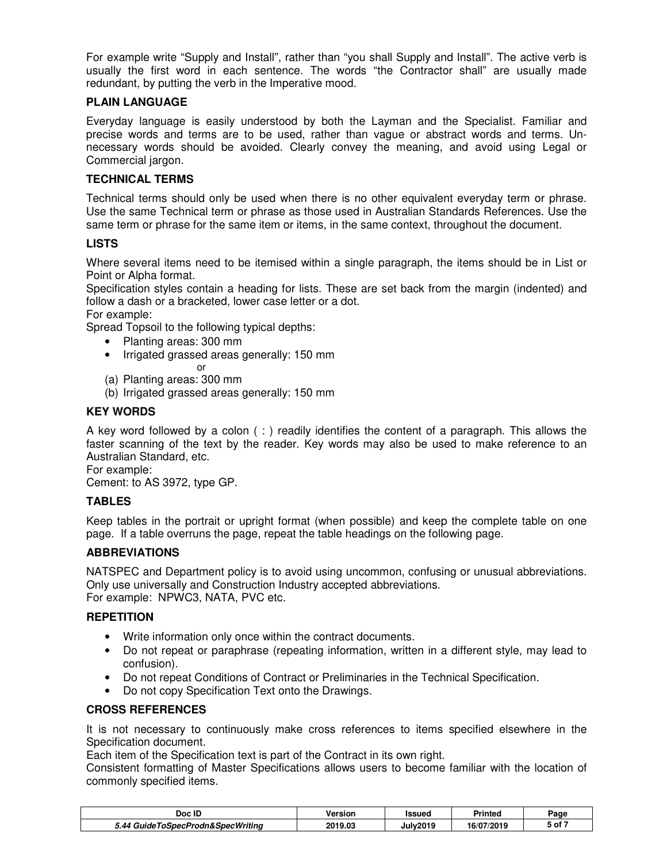For example write "Supply and Install", rather than "you shall Supply and Install". The active verb is usually the first word in each sentence. The words "the Contractor shall" are usually made redundant, by putting the verb in the Imperative mood.

### **PLAIN LANGUAGE**

Everyday language is easily understood by both the Layman and the Specialist. Familiar and precise words and terms are to be used, rather than vague or abstract words and terms. Unnecessary words should be avoided. Clearly convey the meaning, and avoid using Legal or Commercial jargon.

### **TECHNICAL TERMS**

Technical terms should only be used when there is no other equivalent everyday term or phrase. Use the same Technical term or phrase as those used in Australian Standards References. Use the same term or phrase for the same item or items, in the same context, throughout the document.

## **LISTS**

Where several items need to be itemised within a single paragraph, the items should be in List or Point or Alpha format.

Specification styles contain a heading for lists. These are set back from the margin (indented) and follow a dash or a bracketed, lower case letter or a dot.

For example:

Spread Topsoil to the following typical depths:

- Planting areas: 300 mm
	- Irrigated grassed areas generally: 150 mm
		- or
- (a) Planting areas: 300 mm
- (b) Irrigated grassed areas generally: 150 mm

## **KEY WORDS**

A key word followed by a colon ( : ) readily identifies the content of a paragraph. This allows the faster scanning of the text by the reader. Key words may also be used to make reference to an Australian Standard, etc.

For example: Cement: to AS 3972, type GP.

# **TABLES**

Keep tables in the portrait or upright format (when possible) and keep the complete table on one page. If a table overruns the page, repeat the table headings on the following page.

#### **ABBREVIATIONS**

NATSPEC and Department policy is to avoid using uncommon, confusing or unusual abbreviations. Only use universally and Construction Industry accepted abbreviations. For example: NPWC3, NATA, PVC etc.

#### **REPETITION**

- Write information only once within the contract documents.
- Do not repeat or paraphrase (repeating information, written in a different style, may lead to confusion).
- Do not repeat Conditions of Contract or Preliminaries in the Technical Specification.
- Do not copy Specification Text onto the Drawings.

#### **CROSS REFERENCES**

It is not necessary to continuously make cross references to items specified elsewhere in the Specification document.

Each item of the Specification text is part of the Contract in its own right.

Consistent formatting of Master Specifications allows users to become familiar with the location of commonly specified items.

| Doc ID                                         | Version | Issued   | <b>Printeg</b>        | Page                         |
|------------------------------------------------|---------|----------|-----------------------|------------------------------|
| งSpecProdn&SpecWritina<br><u>таа.</u><br>Guide | 2019.03 | Julv2019 | 72019<br>C/2<br>ו וסו | $\mathsf{5}$ of $\mathsf{7}$ |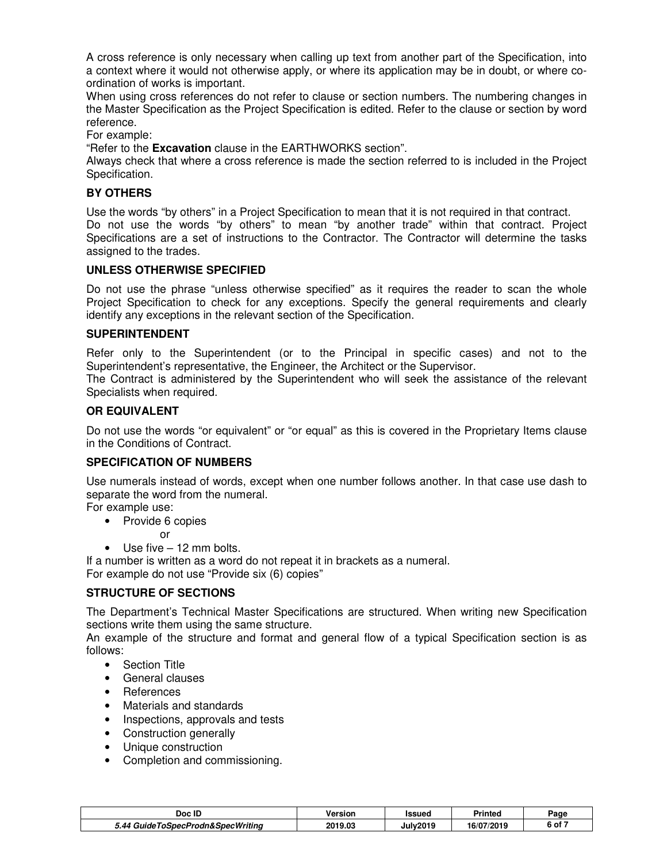A cross reference is only necessary when calling up text from another part of the Specification, into a context where it would not otherwise apply, or where its application may be in doubt, or where coordination of works is important.

When using cross references do not refer to clause or section numbers. The numbering changes in the Master Specification as the Project Specification is edited. Refer to the clause or section by word reference.

For example:

"Refer to the **Excavation** clause in the EARTHWORKS section".

Always check that where a cross reference is made the section referred to is included in the Project Specification.

#### **BY OTHERS**

Use the words "by others" in a Project Specification to mean that it is not required in that contract. Do not use the words "by others" to mean "by another trade" within that contract. Project Specifications are a set of instructions to the Contractor. The Contractor will determine the tasks assigned to the trades.

#### **UNLESS OTHERWISE SPECIFIED**

Do not use the phrase "unless otherwise specified" as it requires the reader to scan the whole Project Specification to check for any exceptions. Specify the general requirements and clearly identify any exceptions in the relevant section of the Specification.

#### **SUPERINTENDENT**

Refer only to the Superintendent (or to the Principal in specific cases) and not to the Superintendent's representative, the Engineer, the Architect or the Supervisor.

The Contract is administered by the Superintendent who will seek the assistance of the relevant Specialists when required.

#### **OR EQUIVALENT**

Do not use the words "or equivalent" or "or equal" as this is covered in the Proprietary Items clause in the Conditions of Contract.

#### **SPECIFICATION OF NUMBERS**

Use numerals instead of words, except when one number follows another. In that case use dash to separate the word from the numeral.

For example use:

- Provide 6 copies
	- or
- Use five 12 mm bolts.

If a number is written as a word do not repeat it in brackets as a numeral. For example do not use "Provide six (6) copies"

#### **STRUCTURE OF SECTIONS**

The Department's Technical Master Specifications are structured. When writing new Specification sections write them using the same structure.

An example of the structure and format and general flow of a typical Specification section is as follows:

- Section Title
- General clauses
- References
- Materials and standards
- Inspections, approvals and tests
- Construction generally
- Unique construction
- Completion and commissioning.

| Doc ID                            | Version | Issued          | Printed    | Page   |
|-----------------------------------|---------|-----------------|------------|--------|
| 5.44 GuideToSpecProdn&SpecWritina | 2019.03 | <b>July2019</b> | 16/07/2019 | 7 of د |